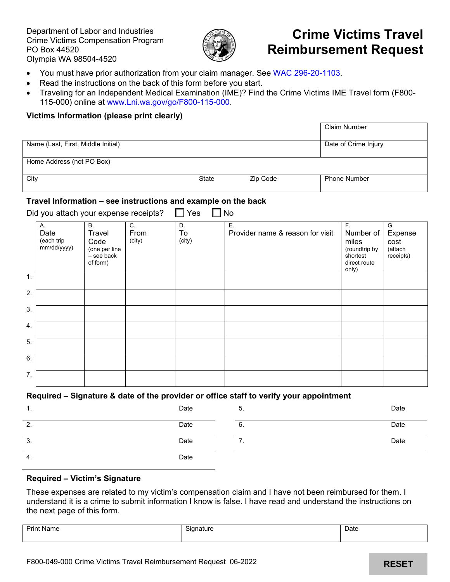Department of Labor and Industries Crime Victims Compensation Program PO Box 44520 Olympia WA 98504-4520



# **Crime Victims Travel Reimbursement Request**

- You must have prior authorization from your claim manager. See [WAC 296-20-1103.](https://app.leg.wa.gov/WAC/default.aspx?cite=296-20-1103)
- Read the instructions on the back of this form before you start.
- Traveling for an Independent Medical Examination (IME)? Find the Crime Victims IME Travel form (F800- 115-000) online at [www.Lni.wa.gov/go/F800-115-000.](http://www.lni.wa.gov/go/F800-115-000)

## **Victims Information (please print clearly)**

|                                    |       |          | <b>Claim Number</b>  |
|------------------------------------|-------|----------|----------------------|
| Name (Last, First, Middle Initial) |       |          | Date of Crime Injury |
| Home Address (not PO Box)          |       |          |                      |
| City                               | State | Zip Code | <b>Phone Number</b>  |

#### **Travel Information – see instructions and example on the back**

Did you attach your expense receipts?  $\Box$  Yes  $\Box$  No

|    | Α.<br>Date<br>(each trip<br>mm/dd/yyyy) | <b>B.</b><br>Travel<br>Code<br>(one per line<br>- see back<br>of form) | C.<br>From<br>(city) | D.<br>To<br>(city) | Ε.<br>Provider name & reason for visit | F.<br>Number of<br>miles<br>(roundtrip by<br>shortest<br>direct route<br>only) | G.<br>Expense<br>cost<br>(attach<br>receipts) |
|----|-----------------------------------------|------------------------------------------------------------------------|----------------------|--------------------|----------------------------------------|--------------------------------------------------------------------------------|-----------------------------------------------|
| 1. |                                         |                                                                        |                      |                    |                                        |                                                                                |                                               |
| 2. |                                         |                                                                        |                      |                    |                                        |                                                                                |                                               |
| 3. |                                         |                                                                        |                      |                    |                                        |                                                                                |                                               |
| 4. |                                         |                                                                        |                      |                    |                                        |                                                                                |                                               |
| 5. |                                         |                                                                        |                      |                    |                                        |                                                                                |                                               |
| 6. |                                         |                                                                        |                      |                    |                                        |                                                                                |                                               |
| 7. |                                         |                                                                        |                      |                    |                                        |                                                                                |                                               |

# **Required – Signature & date of the provider or office staff to verify your appointment**

| . . | Date | 5.  | Date |
|-----|------|-----|------|
| 2.  | Date | ხ.  | Date |
| 3.  | Date | . . | Date |
| -4. | Date |     |      |

### **Required – Victim's Signature**

These expenses are related to my victim's compensation claim and I have not been reimbursed for them. I understand it is a crime to submit information I know is false. I have read and understand the instructions on the next page of this form.

| Print<br>Name | Signature | Date |
|---------------|-----------|------|
|               |           |      |